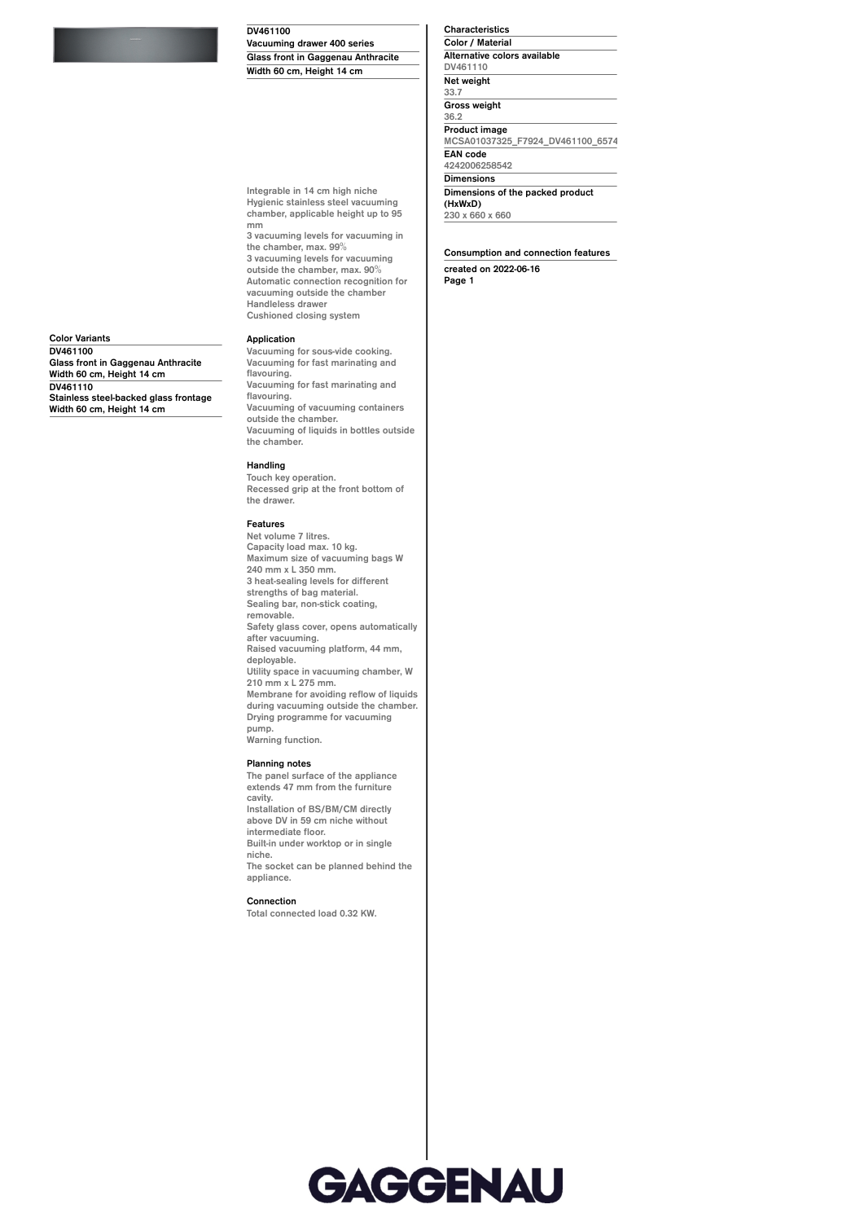### **DV461100**

**Vacuuming drawer 400 series Glass front in Gaggenau Anthracite Width 60 cm, Height 14 cm**

**Integrable in 14 cm high niche Hygienic stainless steel vacuuming chamber, applicable height up to 95**

**the chamber, max. 99% 3 vacuuming levels for vacuuming outside the chamber, max. 90% Automatic connection recognition for vacuuming outside the chamber**

**Handleless drawer Cushioned closing system**

**3 vacuuming levels for vacuuming in**

**DV461110 Net weight 33.7 Gross weight 36.2 Product image MCSA01037325\_F7924\_DV461100\_657427\_def.jpg EAN code 4242006258542 Dimensions Dimensions of the packed product (HxWxD) 230 x 660 x 660**

**Characteristics Color / Material Alternative colors available**

**Consumption and connection features created on 2022-06-16 Page 1**

**Color Variants DV461100 Glass front in Gaggenau Anthracite Width 60 cm, Height 14 cm DV461110 Stainless steel-backed glass frontage Width 60 cm, Height 14 cm**

**Application**

**mm**

**Vacuuming for sous-vide cooking. Vacuuming for fast marinating and flavouring. Vacuuming for fast marinating and flavouring. Vacuuming of vacuuming containers outside the chamber. Vacuuming of liquids in bottles outside the chamber.**

# **Handling**

**Touch key operation. Recessed grip at the front bottom of the drawer.**

#### **Features**

**Net volume 7 litres. Capacity load max. 10 kg. Maximum size of vacuuming bags W 240 mm x L 350 mm. 3 heat-sealing levels for different strengths of bag material. Sealing bar, non-stick coating, removable. Safety glass cover, opens automatically after vacuuming. Raised vacuuming platform, 44 mm, deployable. Utility space in vacuuming chamber, W 210 mm x L 275 mm. Membrane for avoiding reflow of liquids during vacuuming outside the chamber. Drying programme for vacuuming pump. Warning function.**

## **Planning notes**

**The panel surface of the appliance extends 47 mm from the furniture cavity. Installation of BS/BM/CM directly above DV in 59 cm niche without intermediate floor. Built-in under worktop or in single niche.**

**The socket can be planned behind the appliance.**

## **Connection**

**Total connected load 0.32 KW.**